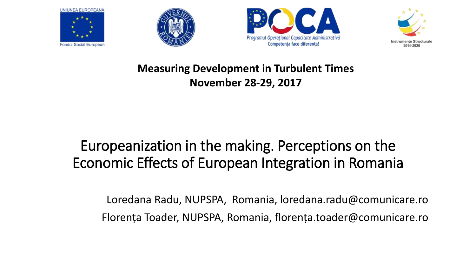







#### **Measuring Development in Turbulent Times November 28-29, 2017**

#### Europeanization in the making. Perceptions on the Economic Effects of European Integration in Romania

Loredana Radu, NUPSPA, Romania, loredana.radu@comunicare.ro Florența Toader, NUPSPA, Romania, florența.toader@comunicare.ro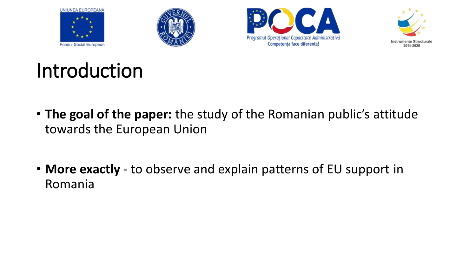







## Introduction

- **The goal of the paper:** the study of the Romanian public's attitude towards the European Union
- **More exactly**  to observe and explain patterns of EU support in Romania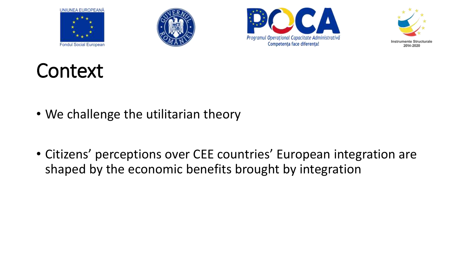







## **Context**

- We challenge the utilitarian theory
- Citizens' perceptions over CEE countries' European integration are shaped by the economic benefits brought by integration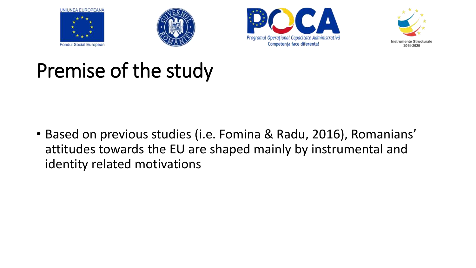







## Premise of the study

• Based on previous studies (i.e. Fomina & Radu, 2016), Romanians' attitudes towards the EU are shaped mainly by instrumental and identity related motivations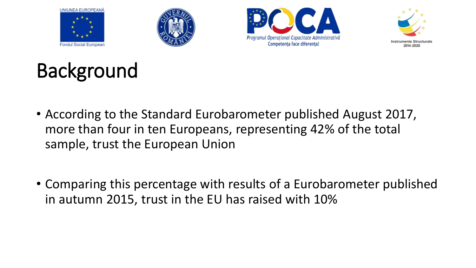







# Background

- According to the Standard Eurobarometer published August 2017, more than four in ten Europeans, representing 42% of the total sample, trust the European Union
- Comparing this percentage with results of a Eurobarometer published in autumn 2015, trust in the EU has raised with 10%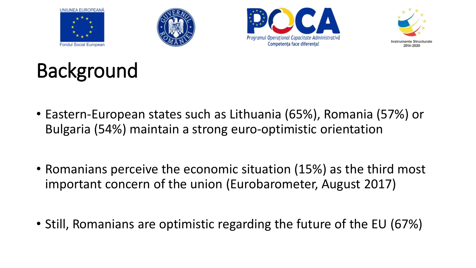







# Background

- Eastern-European states such as Lithuania (65%), Romania (57%) or Bulgaria (54%) maintain a strong euro-optimistic orientation
- Romanians perceive the economic situation (15%) as the third most important concern of the union (Eurobarometer, August 2017)
- Still, Romanians are optimistic regarding the future of the EU (67%)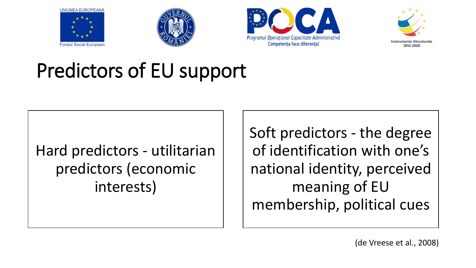







## Predictors of EU support

#### Hard predictors - utilitarian predictors (economic interests)

Soft predictors - the degree of identification with one's national identity, perceived meaning of EU membership, political cues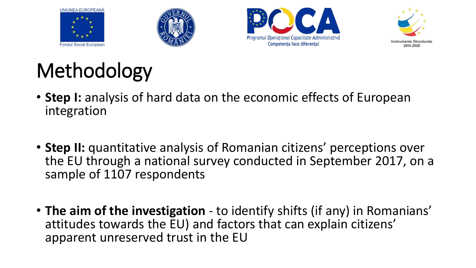







# Methodology

- **Step I:** analysis of hard data on the economic effects of European integration
- **Step II:** quantitative analysis of Romanian citizens' perceptions over the EU through a national survey conducted in September 2017, on a sample of 1107 respondents
- **The aim of the investigation**  to identify shifts (if any) in Romanians' attitudes towards the EU) and factors that can explain citizens' apparent unreserved trust in the EU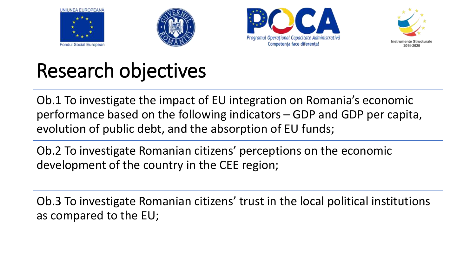







## Research objectives

Ob.1 To investigate the impact of EU integration on Romania's economic performance based on the following indicators – GDP and GDP per capita, evolution of public debt, and the absorption of EU funds;

Ob.2 To investigate Romanian citizens' perceptions on the economic development of the country in the CEE region;

Ob.3 To investigate Romanian citizens' trust in the local political institutions as compared to the EU;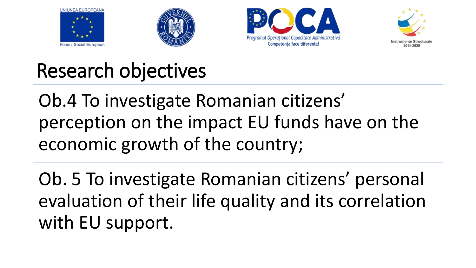







### Research objectives

Ob.4 To investigate Romanian citizens' perception on the impact EU funds have on the economic growth of the country;

Ob. 5 To investigate Romanian citizens' personal evaluation of their life quality and its correlation with EU support.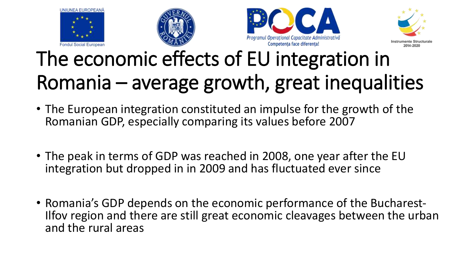







# The economic effects of EU integration in Romania – average growth, great inequalities

- The European integration constituted an impulse for the growth of the Romanian GDP, especially comparing its values before 2007
- The peak in terms of GDP was reached in 2008, one year after the EU integration but dropped in in 2009 and has fluctuated ever since
- Romania's GDP depends on the economic performance of the Bucharest-Ilfov region and there are still great economic cleavages between the urban and the rural areas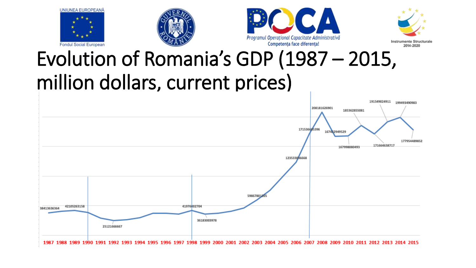







## Evolution of Romania's GDP (1987 – 2015, million dollars, current prices)

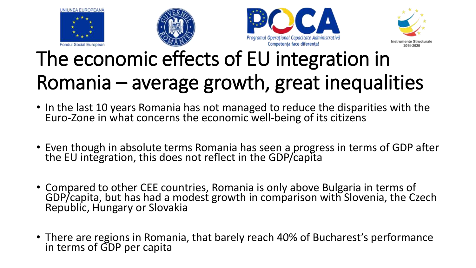







# The economic effects of EU integration in Romania – average growth, great inequalities

- In the last 10 years Romania has not managed to reduce the disparities with the Euro-Zone in what concerns the economic well-being of its citizens
- Even though in absolute terms Romania has seen a progress in terms of GDP after the EU integration, this does not reflect in the GDP/capita
- Compared to other CEE countries, Romania is only above Bulgaria in terms of GDP/capita, but has had a modest growth in comparison with Slovenia, the Czech Republic, Hungary or Slovakia
- There are regions in Romania, that barely reach 40% of Bucharest's performance in terms of GDP per capita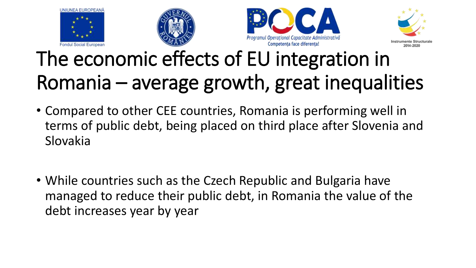







# The economic effects of EU integration in Romania – average growth, great inequalities

- Compared to other CEE countries, Romania is performing well in terms of public debt, being placed on third place after Slovenia and Slovakia
- While countries such as the Czech Republic and Bulgaria have managed to reduce their public debt, in Romania the value of the debt increases year by year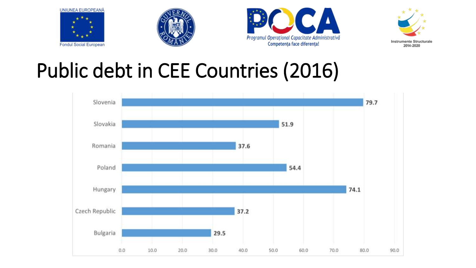







#### Public debt in CEE Countries (2016)

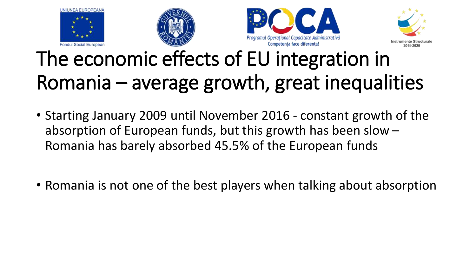







# The economic effects of EU integration in Romania – average growth, great inequalities

- Starting January 2009 until November 2016 constant growth of the absorption of European funds, but this growth has been slow – Romania has barely absorbed 45.5% of the European funds
- Romania is not one of the best players when talking about absorption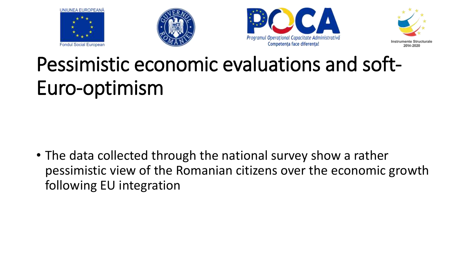







## Pessimistic economic evaluations and soft-Euro-optimism

• The data collected through the national survey show a rather pessimistic view of the Romanian citizens over the economic growth following EU integration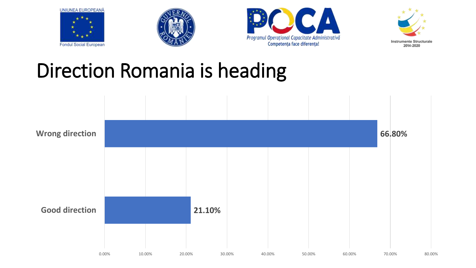







### Direction Romania is heading

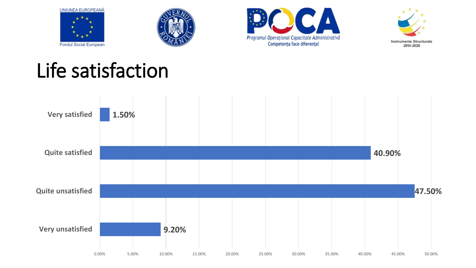







## Life satisfaction

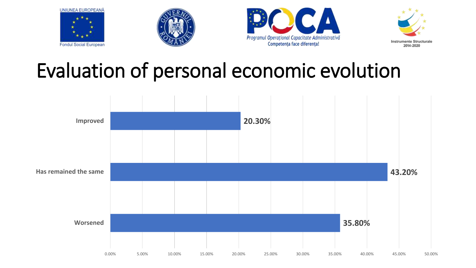







#### Evaluation of personal economic evolution

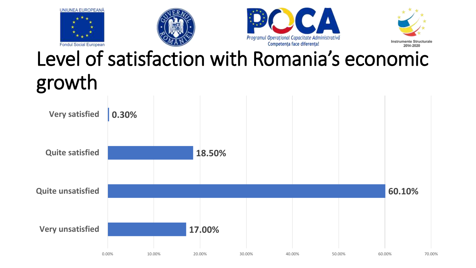







## Level of satisfaction with Romania's economic growth

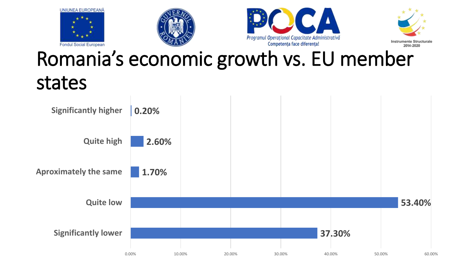







#### Romania's economic growth vs. EU member states

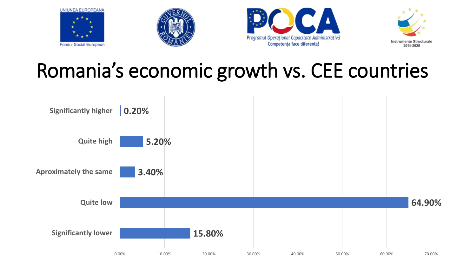







#### Romania's economic growth vs. CEE countries

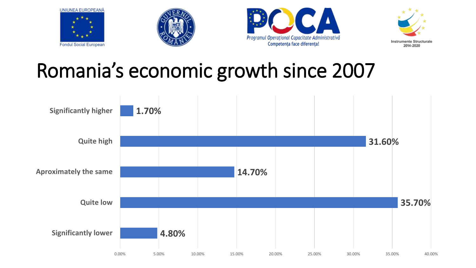







#### Romania's economic growth since 2007

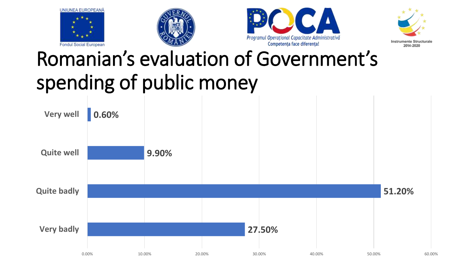







# Romanian's evaluation of Government's spending of public money

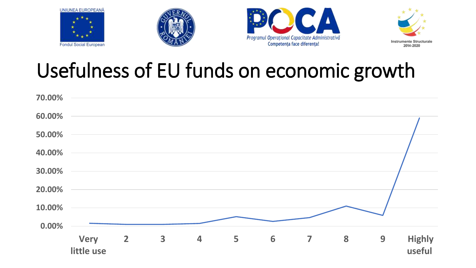







#### Usefulness of EU funds on economic growth

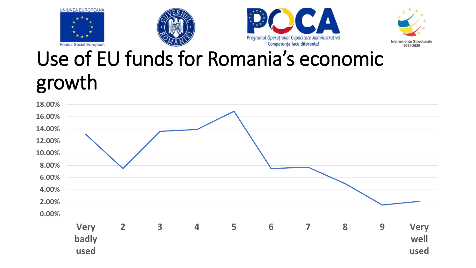







## Use of EU funds for Romania's economic growth

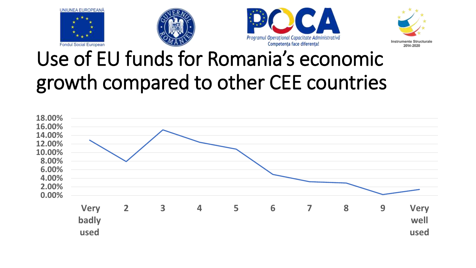







#### Use of EU funds for Romania's economic growth compared to other CEE countries

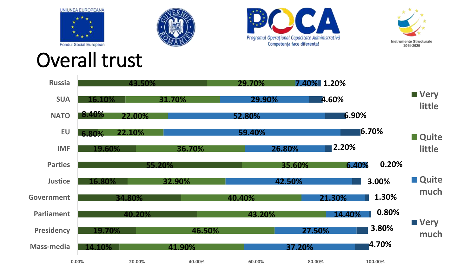







#### Overall trust

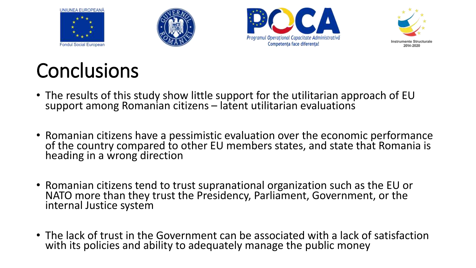







## Conclusions

- The results of this study show little support for the utilitarian approach of EU support among Romanian citizens – latent utilitarian evaluations
- Romanian citizens have a pessimistic evaluation over the economic performance of the country compared to other EU members states, and state that Romania is heading in a wrong direction
- Romanian citizens tend to trust supranational organization such as the EU or NATO more than they trust the Presidency, Parliament, Government, or the internal Justice system
- The lack of trust in the Government can be associated with a lack of satisfaction with its policies and ability to adequately manage the public money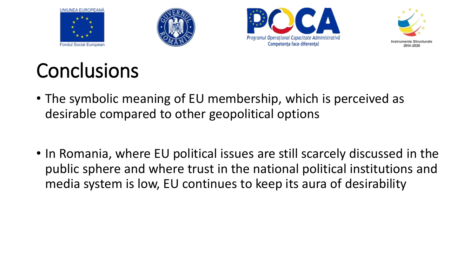







## **Conclusions**

- The symbolic meaning of EU membership, which is perceived as desirable compared to other geopolitical options
- In Romania, where EU political issues are still scarcely discussed in the public sphere and where trust in the national political institutions and media system is low, EU continues to keep its aura of desirability